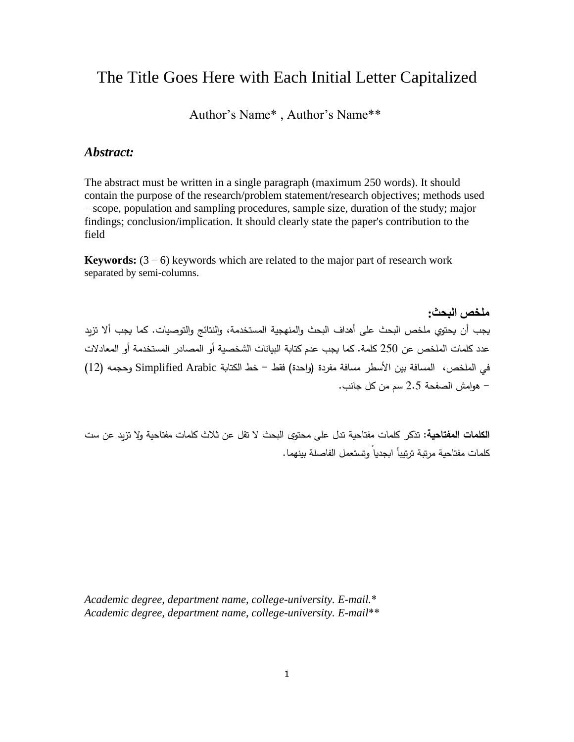# The Title Goes Here with Each Initial Letter Capitalized

Author's Name\* , Author's Name\*\*

# *Abstract:*

The abstract must be written in a single paragraph (maximum 250 words). It should contain the purpose of the research/problem statement/research objectives; methods used – scope, population and sampling procedures, sample size, duration of the study; major findings; conclusion/implication. It should clearly state the paper's contribution to the field

**Keywords:**  $(3 - 6)$  keywords which are related to the major part of research work separated by semi-columns.

**ملخص البحث:** يجب أن يحتوي ملخص البحث على أهداف البحث والمنهجية المستخدمة، والنتائج والتوصيات. كما يجب ألا تزيد عدد كلمات الملخص عن 250 كلمة. كما يجب عدم كتابة البيانات الشخصية أو المصادر المستخدمة أو المعادلات في الملخص، المسافة بين الأسطر مسافة مفردة (واحدة) فقط – خط الكتابة Simplified Arabic وحجمه (12) - ههامش الرفحة 5.2 سم من كل جانب.

ا**لكلمات المفتاحية:** تذكر كلمات مفتاحية تدل على محتوى البحث لا تقل عن ثلاث كلمات مفتاحية ولا تزيد عن ست كلمات مفتاحية مرتبة ترتيباً ابجديا وتستعمل الفاصلة بينهما.

*Academic degree, department name, college-university. E-mail.*\* *Academic degree, department name, college-university. E-mail*\*\*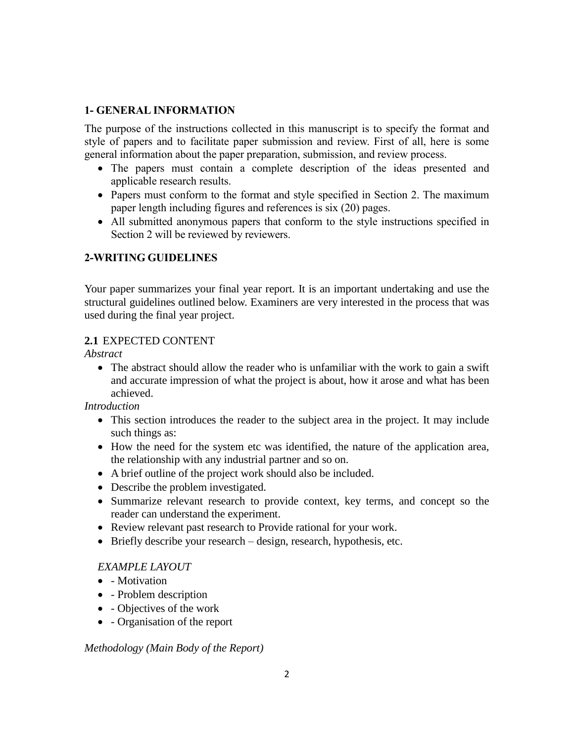### **1- GENERAL INFORMATION**

The purpose of the instructions collected in this manuscript is to specify the format and style of papers and to facilitate paper submission and review. First of all, here is some general information about the paper preparation, submission, and review process.

- The papers must contain a complete description of the ideas presented and applicable research results.
- Papers must conform to the format and style specified in Section 2. The maximum paper length including figures and references is six (20) pages.
- All submitted anonymous papers that conform to the style instructions specified in Section 2 will be reviewed by reviewers.

# **2-WRITING GUIDELINES**

Your paper summarizes your final year report. It is an important undertaking and use the structural guidelines outlined below. Examiners are very interested in the process that was used during the final year project.

# **2.1** EXPECTED CONTENT

*Abstract*

 The abstract should allow the reader who is unfamiliar with the work to gain a swift and accurate impression of what the project is about, how it arose and what has been achieved.

*Introduction*

- This section introduces the reader to the subject area in the project. It may include such things as:
- How the need for the system etc was identified, the nature of the application area, the relationship with any industrial partner and so on.
- A brief outline of the project work should also be included.
- Describe the problem investigated.
- Summarize relevant research to provide context, key terms, and concept so the reader can understand the experiment.
- Review relevant past research to Provide rational for your work.
- $\bullet$  Briefly describe your research design, research, hypothesis, etc.

# *EXAMPLE LAYOUT*

- - Motivation
- - Problem description
- - Objectives of the work
- - Organisation of the report

*Methodology (Main Body of the Report)*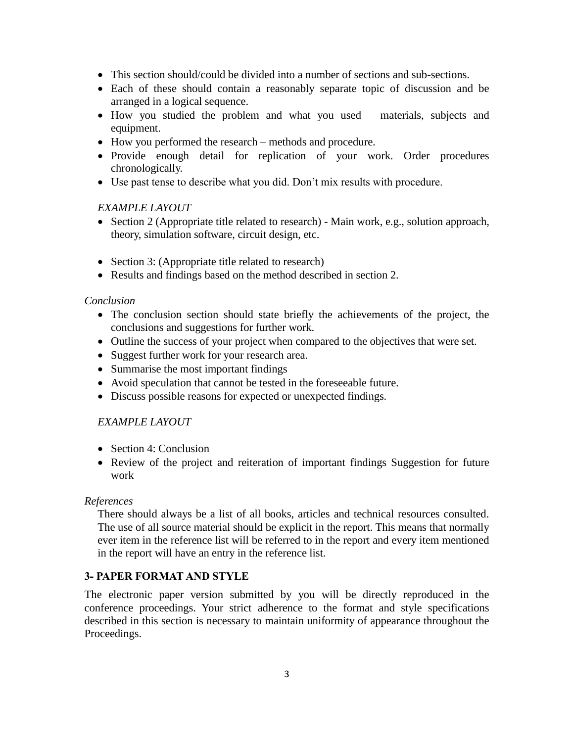- This section should/could be divided into a number of sections and sub-sections.
- Each of these should contain a reasonably separate topic of discussion and be arranged in a logical sequence.
- How you studied the problem and what you used materials, subjects and equipment.
- How you performed the research methods and procedure.
- Provide enough detail for replication of your work. Order procedures chronologically.
- Use past tense to describe what you did. Don't mix results with procedure.

### *EXAMPLE LAYOUT*

- $\bullet$  Section 2 (Appropriate title related to research) Main work, e.g., solution approach, theory, simulation software, circuit design, etc.
- Section 3: (Appropriate title related to research)
- Results and findings based on the method described in section 2.

#### *Conclusion*

- The conclusion section should state briefly the achievements of the project, the conclusions and suggestions for further work.
- Outline the success of your project when compared to the objectives that were set.
- Suggest further work for your research area.
- Summarise the most important findings
- Avoid speculation that cannot be tested in the foreseeable future.
- Discuss possible reasons for expected or unexpected findings.

### *EXAMPLE LAYOUT*

- Section 4: Conclusion
- Review of the project and reiteration of important findings Suggestion for future work

#### *References*

There should always be a list of all books, articles and technical resources consulted. The use of all source material should be explicit in the report. This means that normally ever item in the reference list will be referred to in the report and every item mentioned in the report will have an entry in the reference list.

### **3- PAPER FORMAT AND STYLE**

The electronic paper version submitted by you will be directly reproduced in the conference proceedings. Your strict adherence to the format and style specifications described in this section is necessary to maintain uniformity of appearance throughout the Proceedings.